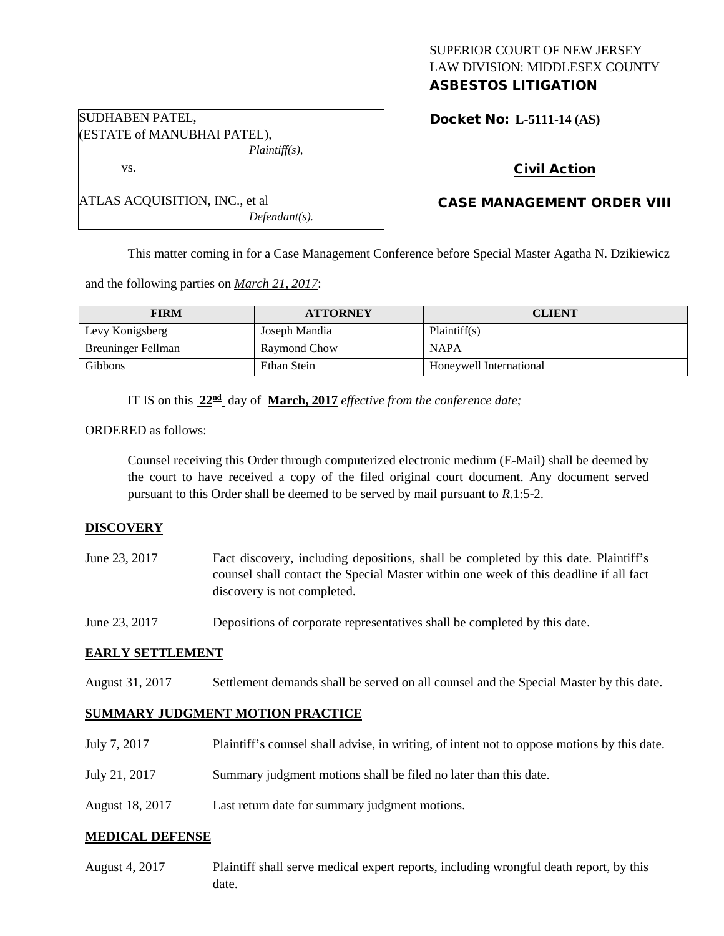# SUPERIOR COURT OF NEW JERSEY LAW DIVISION: MIDDLESEX COUNTY ASBESTOS LITIGATION

Docket No: **L-5111-14 (AS)** 

| SUDHABEN PATEL,             |
|-----------------------------|
| (ESTATE of MANUBHAI PATEL), |
| $Plaintiff(s)$ ,            |

ATLAS ACQUISITION, INC., et al

vs.

# Civil Action

# CASE MANAGEMENT ORDER VIII

This matter coming in for a Case Management Conference before Special Master Agatha N. Dzikiewicz

and the following parties on *March 21, 2017*:

| <b>FIRM</b>        | <b>ATTORNEY</b>     | <b>CLIENT</b>           |
|--------------------|---------------------|-------------------------|
| Levy Konigsberg    | Joseph Mandia       | Plaintiff(s)            |
| Breuninger Fellman | <b>Raymond Chow</b> | <b>NAPA</b>             |
| Gibbons            | Ethan Stein         | Honeywell International |

IT IS on this  $22^{\text{nd}}$  day of **March, 2017** *effective from the conference date;* 

*Defendant(s).*

ORDERED as follows:

Counsel receiving this Order through computerized electronic medium (E-Mail) shall be deemed by the court to have received a copy of the filed original court document. Any document served pursuant to this Order shall be deemed to be served by mail pursuant to *R*.1:5-2.

## **DISCOVERY**

| June 23, 2017 | Fact discovery, including depositions, shall be completed by this date. Plaintiff's   |
|---------------|---------------------------------------------------------------------------------------|
|               | counsel shall contact the Special Master within one week of this deadline if all fact |
|               | discovery is not completed.                                                           |

June 23, 2017 Depositions of corporate representatives shall be completed by this date.

## **EARLY SETTLEMENT**

August 31, 2017 Settlement demands shall be served on all counsel and the Special Master by this date.

## **SUMMARY JUDGMENT MOTION PRACTICE**

| July 7, 2017    | Plaintiff's counsel shall advise, in writing, of intent not to oppose motions by this date. |
|-----------------|---------------------------------------------------------------------------------------------|
| July 21, 2017   | Summary judgment motions shall be filed no later than this date.                            |
| August 18, 2017 | Last return date for summary judgment motions.                                              |

## **MEDICAL DEFENSE**

August 4, 2017 Plaintiff shall serve medical expert reports, including wrongful death report, by this date.